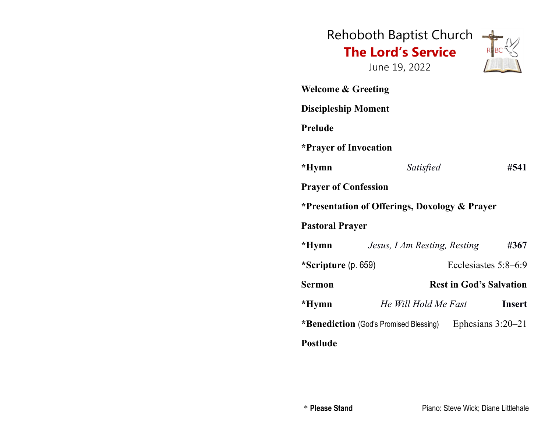|                                                                     | Rehoboth Baptist Church<br><b>The Lord's Service</b><br>June 19, 2022 |  |                                |
|---------------------------------------------------------------------|-----------------------------------------------------------------------|--|--------------------------------|
| <b>Welcome &amp; Greeting</b>                                       |                                                                       |  |                                |
| <b>Discipleship Moment</b>                                          |                                                                       |  |                                |
| <b>Prelude</b>                                                      |                                                                       |  |                                |
| <i>*Prayer of Invocation</i>                                        |                                                                       |  |                                |
| *Hymn                                                               | Satisfied                                                             |  | #541                           |
| <b>Prayer of Confession</b>                                         |                                                                       |  |                                |
| *Presentation of Offerings, Doxology & Prayer                       |                                                                       |  |                                |
| <b>Pastoral Prayer</b>                                              |                                                                       |  |                                |
| *Hymn                                                               | Jesus, I Am Resting, Resting                                          |  | #367                           |
| *Scripture $(p. 659)$                                               |                                                                       |  | Ecclesiastes 5:8–6:9           |
| Sermon                                                              |                                                                       |  | <b>Rest in God's Salvation</b> |
| *Hymn                                                               | He Will Hold Me Fast                                                  |  | <b>Insert</b>                  |
| * <b>Benediction</b> (God's Promised Blessing)<br>Ephesians 3:20-21 |                                                                       |  |                                |
| <b>Postlude</b>                                                     |                                                                       |  |                                |